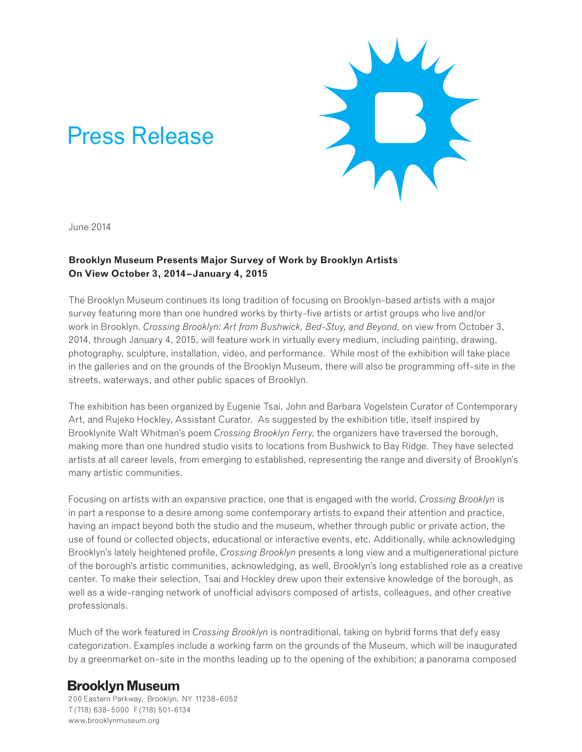# Press Release



June 2014

## **Brooklyn Museum Presents Major Survey of Work by Brooklyn Artists On View October 3, 2014–January 4, 2015**

The Brooklyn Museum continues its long tradition of focusing on Brooklyn-based artists with a major survey featuring more than one hundred works by thirty-five artists or artist groups who live and/or work in Brooklyn. *Crossing Brooklyn: Art from Bushwick, Bed-Stuy, and Beyond*, on view from October 3, 2014, through January 4, 2015, will feature work in virtually every medium, including painting, drawing, photography, sculpture, installation, video, and performance. While most of the exhibition will take place in the galleries and on the grounds of the Brooklyn Museum, there will also be programming off-site in the streets, waterways, and other public spaces of Brooklyn.

The exhibition has been organized by Eugenie Tsai, John and Barbara Vogelstein Curator of Contemporary Art, and Rujeko Hockley, Assistant Curator. As suggested by the exhibition title, itself inspired by Brooklynite Walt Whitman's poem *Crossing Brooklyn Ferry*, the organizers have traversed the borough, making more than one hundred studio visits to locations from Bushwick to Bay Ridge. They have selected artists at all career levels, from emerging to established, representing the range and diversity of Brooklyn's many artistic communities.

Focusing on artists with an expansive practice, one that is engaged with the world, *Crossing Brooklyn* is in part a response to a desire among some contemporary artists to expand their attention and practice, having an impact beyond both the studio and the museum, whether through public or private action, the use of found or collected objects, educational or interactive events, etc. Additionally, while acknowledging Brooklyn's lately heightened profile, *Crossing Brooklyn* presents a long view and a multigenerational picture of the borough's artistic communities, acknowledging, as well, Brooklyn's long established role as a creative center. To make their selection, Tsai and Hockley drew upon their extensive knowledge of the borough, as well as a wide-ranging network of unofficial advisors composed of artists, colleagues, and other creative professionals.

Much of the work featured in *Crossing Brooklyn* is nontraditional, taking on hybrid forms that defy easy categorization. Examples include a working farm on the grounds of the Museum, which will be inaugurated by a greenmarket on-site in the months leading up to the opening of the exhibition; a panorama composed

# **Brooklyn Museum**

200 Eastern Parkway, Brooklyn, NY 11238-6052 T (718) 638-5000 F (718) 501-6134 www.brooklynmuseum.org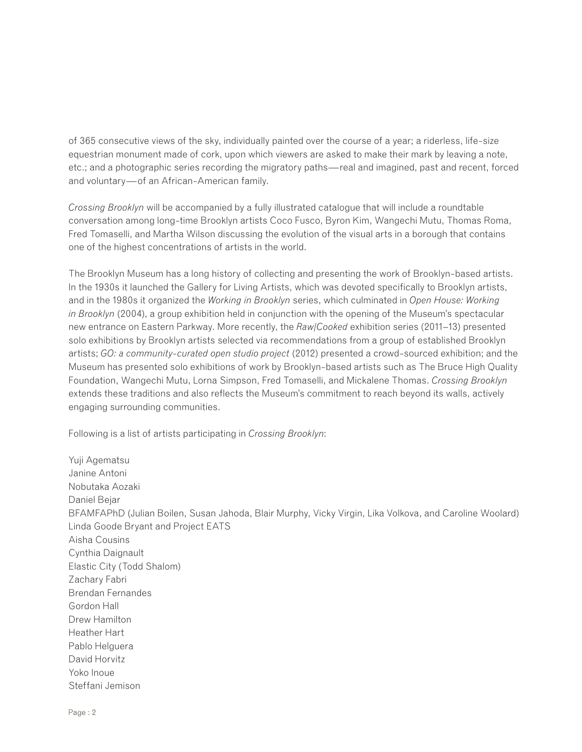of 365 consecutive views of the sky, individually painted over the course of a year; a riderless, life-size equestrian monument made of cork, upon which viewers are asked to make their mark by leaving a note, etc.; and a photographic series recording the migratory paths—real and imagined, past and recent, forced and voluntary—of an African-American family.

*Crossing Brooklyn* will be accompanied by a fully illustrated catalogue that will include a roundtable conversation among long-time Brooklyn artists Coco Fusco, Byron Kim, Wangechi Mutu, Thomas Roma, Fred Tomaselli, and Martha Wilson discussing the evolution of the visual arts in a borough that contains one of the highest concentrations of artists in the world.

The Brooklyn Museum has a long history of collecting and presenting the work of Brooklyn-based artists. In the 1930s it launched the Gallery for Living Artists, which was devoted specifically to Brooklyn artists, and in the 1980s it organized the *Working in Brooklyn* series, which culminated in *Open House: Working in Brooklyn* (2004), a group exhibition held in conjunction with the opening of the Museum's spectacular new entrance on Eastern Parkway. More recently, the *Raw/Cooked* exhibition series (2011–13) presented solo exhibitions by Brooklyn artists selected via recommendations from a group of established Brooklyn artists; *GO: a community-curated open studio project* (2012) presented a crowd-sourced exhibition; and the Museum has presented solo exhibitions of work by Brooklyn-based artists such as The Bruce High Quality Foundation, Wangechi Mutu, Lorna Simpson, Fred Tomaselli, and Mickalene Thomas. *Crossing Brooklyn*  extends these traditions and also reflects the Museum's commitment to reach beyond its walls, actively engaging surrounding communities.

Following is a list of artists participating in *Crossing Brooklyn*:

Yuji Agematsu Janine Antoni Nobutaka Aozaki Daniel Bejar BFAMFAPhD (Julian Boilen, Susan Jahoda, Blair Murphy, Vicky Virgin, Lika Volkova, and Caroline Woolard) Linda Goode Bryant and Project EATS Aisha Cousins Cynthia Daignault Elastic City (Todd Shalom) Zachary Fabri Brendan Fernandes Gordon Hall Drew Hamilton Heather Hart Pablo Helguera David Horvitz Yoko Inoue Steffani Jemison